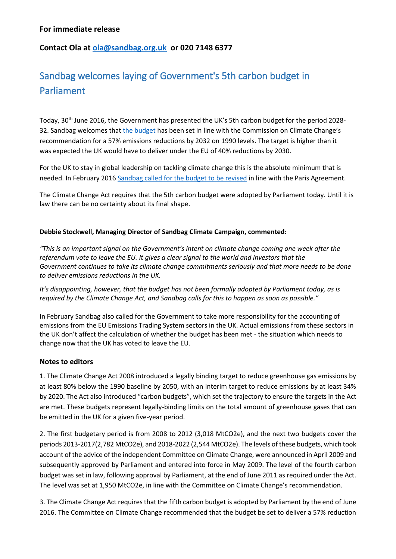# **Contact Ola at [ola@sandbag.org.uk](mailto:ola@sandbag.org.uk) or 020 7148 6377**

# Sandbag welcomes laying of Government's 5th carbon budget in Parliament

Today, 30<sup>th</sup> June 2016, the Government has presented the UK's 5th carbon budget for the period 2028-32. Sandbag welcomes that [the budget](http://www.legislation.gov.uk/ukdsi/2016/9780111147825/introduction) has been set in line with the Commission on Climate Change's recommendation for a 57% emissions reductions by 2032 on 1990 levels. The target is higher than it was expected the UK would have to deliver under the EU of 40% reductions by 2030.

For the UK to stay in global leadership on tackling climate change this is the absolute minimum that is needed. In February 2016 Sandbag [called for the budget to be revised](https://sandbag.org.uk/reports/improving-5th-uk-carbon-budget/) in line with the Paris Agreement.

The Climate Change Act requires that the 5th carbon budget were adopted by Parliament today. Until it is law there can be no certainty about its final shape.

#### **Debbie Stockwell, Managing Director of Sandbag Climate Campaign, commented:**

*"This is an important signal on the Government's intent on climate change coming one week after the referendum vote to leave the EU. It gives a clear signal to the world and investors that the Government continues to take its climate change commitments seriously and that more needs to be done to deliver emissions reductions in the UK.*

*It's disappointing, however, that the budget has not been formally adopted by Parliament today, as is required by the Climate Change Act, and Sandbag calls for this to happen as soon as possible."*

In February Sandbag also called for the Government to take more responsibility for the accounting of emissions from the EU Emissions Trading System sectors in the UK. Actual emissions from these sectors in the UK don't affect the calculation of whether the budget has been met - the situation which needs to change now that the UK has voted to leave the EU.

#### **Notes to editors**

1. The Climate Change Act 2008 introduced a legally binding target to reduce greenhouse gas emissions by at least 80% below the 1990 baseline by 2050, with an interim target to reduce emissions by at least 34% by 2020. The Act also introduced "carbon budgets", which set the trajectory to ensure the targets in the Act are met. These budgets represent legally-binding limits on the total amount of greenhouse gases that can be emitted in the UK for a given five-year period.

2. The first budgetary period is from 2008 to 2012 (3,018 MtCO2e), and the next two budgets cover the periods 2013-2017(2,782 MtCO2e), and 2018-2022 (2,544 MtCO2e). The levels of these budgets, which took account of the advice of the independent Committee on Climate Change, were announced in April 2009 and subsequently approved by Parliament and entered into force in May 2009. The level of the fourth carbon budget was set in law, following approval by Parliament, at the end of June 2011 as required under the Act. The level was set at 1,950 MtCO2e, in line with the Committee on Climate Change's recommendation.

3. The Climate Change Act requires that the fifth carbon budget is adopted by Parliament by the end of June 2016. The Committee on Climate Change recommended that the budget be set to deliver a 57% reduction